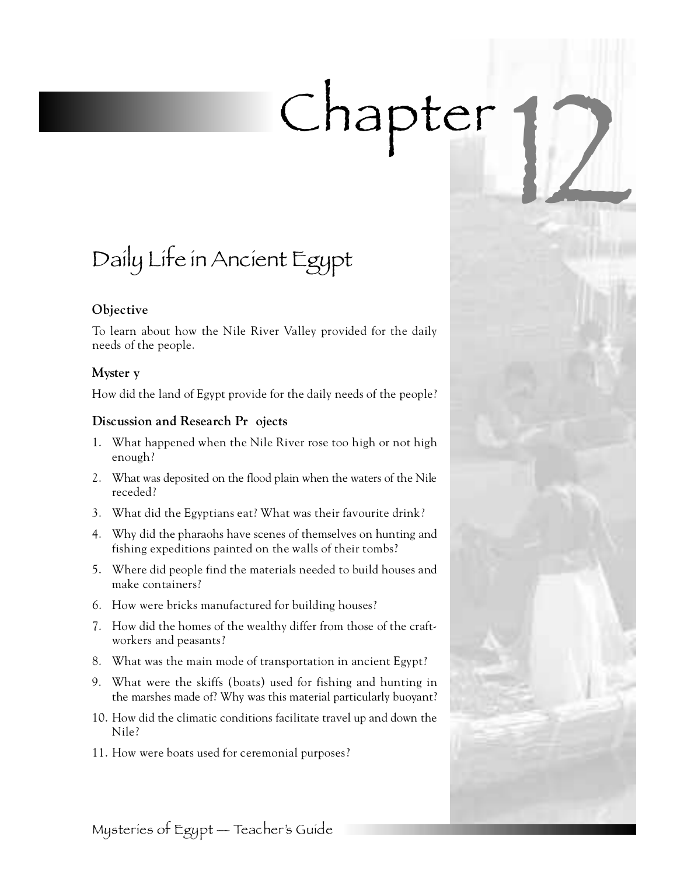# Chapter

# Daily Life in Ancient Egypt

# **Objective**

To learn about how the Nile River Valley provided for the daily needs of the people.

# **Myster y**

How did the land of Egypt provide for the daily needs of the people?

# **Discussion and Research Pr** ojects

- 1. What happened when the Nile River rose too high or not high enough?
- 2. What was deposited on the flood plain when the waters of the Nile receded?
- 3. What did the Egyptians eat? What was their favourite drink?
- 4 . Why did the pharaohs have scenes of themselves on hunting and fishing expeditions painted on the walls of their tombs?
- 5. Where did people find the materials needed to build houses and make containers?
- 6 . How were bricks manufactured for building houses?
- 7 . How did the homes of the wealthy differ from those of the craftworkers and peasants?
- 8. What was the main mode of transportation in ancient Egypt?
- 9 . What were the skiffs (boats) used for fishing and hunting in the marshes made of? Why was this material particularly buoyant?
- 10. How did the climatic conditions facilitate travel up and down the Nile?
- 11. How were boats used for ceremonial purposes?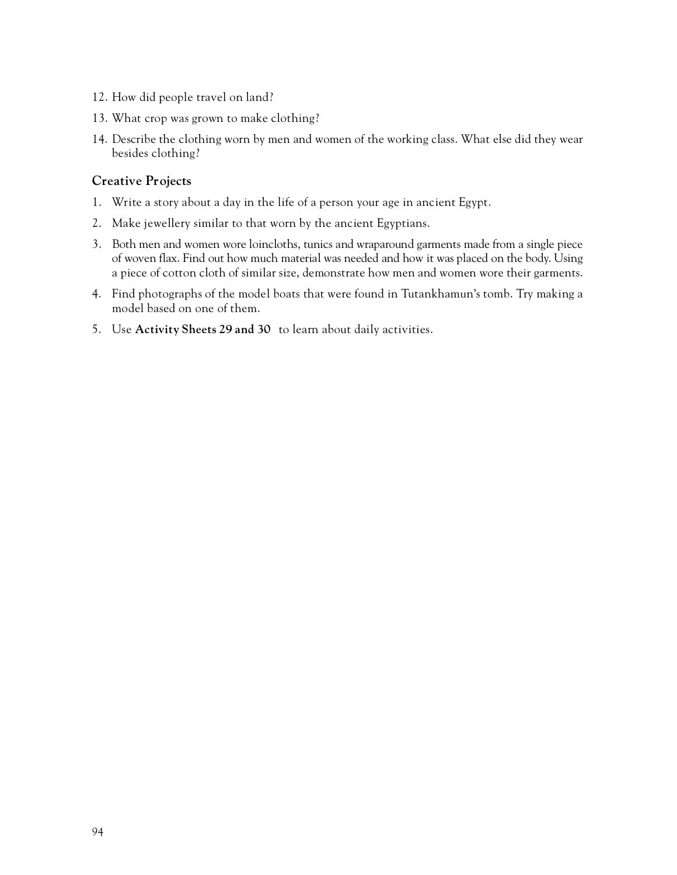- 12. How did people travel on land?
- 13. What crop was grown to make clothing?
- 14. Describe the clothing worn by men and women of the working class. What else did they wear besides clothing?

# **Creative Projects**

- 1. Write a story about a day in the life of a person your age in ancient Egypt.
- 2. Make jewellery similar to that worn by the ancient Egyptians.
- 3 . Both men and women wore loincloths, tunics and wraparound garments made from a single piece of woven flax. Find out how much material was needed and how it was placed on the body. Using a piece of cotton cloth of similar size, demonstrate how men and women wore their garments.
- 4. Find photographs of the model boats that were found in Tutankhamun's tomb. Try making a model based on one of them.
- 5. Use **Activity Sheets 29 and 30** to learn about daily activities.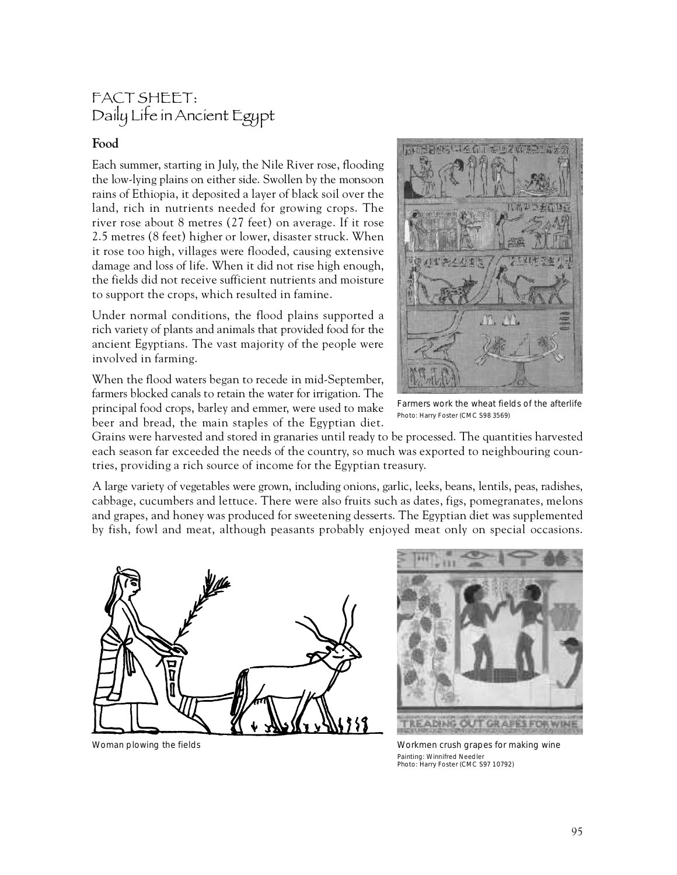# FACT SHEET: Daily Life in Ancient Egypt

# **Food**

Each summer, starting in July, the Nile River rose, flooding the low-lying plains on either side. Swollen by the monsoon rains of Ethiopia, it deposited a layer of black soil over the land, rich in nutrients needed for growing crops. The river rose about 8 metres  $(27 \text{ feet})$  on average. If it rose 2.5 metres (8 feet) higher or lower, disaster struck. When it rose too high, villages were flooded, causing extensive damage and loss of life. When it did not rise high enough, the fields did not receive sufficient nutrients and moisture to support the crops, which resulted in famine.

Under normal conditions, the flood plains supported a rich variety of plants and animals that provided food for the ancient Egyptians. The vast majority of the people were involved in farming.

When the flood waters began to recede in mid-September, farmers blocked canals to retain the water for irrigation. The principal food crops, barley and emmer, were used to make beer and bread, the main staples of the Egyptian diet.



Farmers work the wheat fields of the afterlife Photo: Harry Foster (CMC S98 3569)

Grains were harvested and stored in granaries until ready to be processed. The quantities harvested each season far exceeded the needs of the country, so much was exported to neighbouring countries, providing a rich source of income for the Egyptian treasury.

A large variety of vegetables were grown, including onions, garlic, leeks, beans, lentils, peas, radishes, cabbage, cucumbers and lettuce. There were also fruits such as dates, figs, pomegranates, melons and grapes, and honey was produced for sweetening desserts. The Egyptian diet was supplemented by fish, fowl and meat, although peasants probably enjoyed meat only on special occasions.





Woman plowing the fields Workmen crush grapes for making wine Painting: Winnifred Needler Photo: Harry Foster (CMC S97 10792)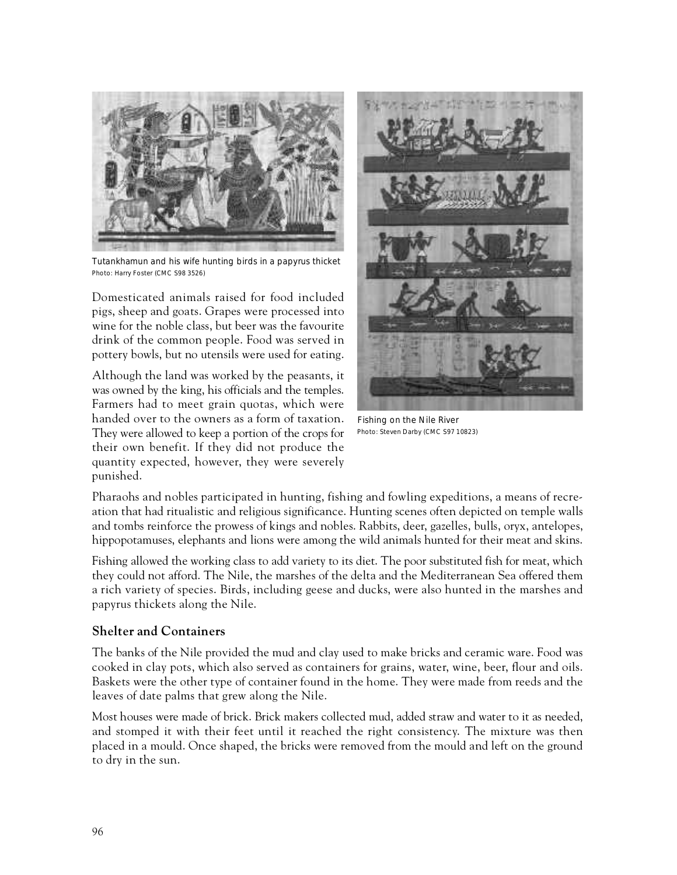

Tutankhamun and his wife hunting birds in a papyrus thicket Photo: Harry Foster (CMC S98 3526)

Domesticated animals raised for food included pigs, sheep and goats. Grapes were processed into wine for the noble class, but beer was the favourite drink of the common people. Food was served in pottery bowls, but no utensils were used for eating.

Although the land was worked by the peasants, it was owned by the king, his officials and the temples. Farmers had to meet grain quotas, which were handed over to the owners as a form of taxation. They were allowed to keep a portion of the crops for their own benefit. If they did not produce the quantity expected, however, they were severely punished.



Fishing on the Nile River Photo: Steven Darby (CMC S97 10823)

Pharaohs and nobles participated in hunting, fishing and fowling expeditions, a means of recreation that had ritualistic and religious significance. Hunting scenes often depicted on temple walls and tombs reinforce the prowess of kings and nobles. Rabbits, deer, gazelles, bulls, oryx, antelopes, hippopotamuses, elephants and lions were among the wild animals hunted for their meat and skins.

Fishing allowed the working class to add variety to its diet. The poor substituted fish for meat, which they could not afford. The Nile, the marshes of the delta and the Mediterranean Sea offered them a rich variety of species. Birds, including geese and ducks, were also hunted in the marshes and papyrus thickets along the Nile.

### **Shelter and Containers**

The banks of the Nile provided the mud and clay used to make bricks and ceramic ware. Food was cooked in clay pots, which also served as containers for grains, water, wine, beer, flour and oils. Baskets were the other type of container found in the home. They were made from reeds and the leaves of date palms that grew along the Nile.

Most houses were made of brick. Brick makers collected mud, added straw and water to it as needed, and stomped it with their feet until it reached the right consistency. The mixture was then placed in a mould. Once shaped, the bricks were removed from the mould and left on the ground to dry in the sun.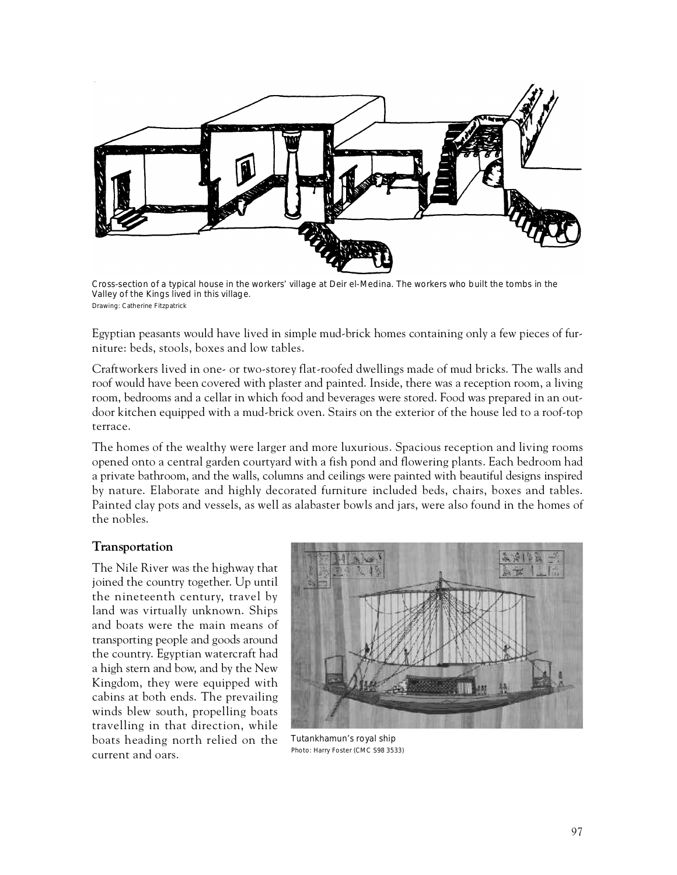

Cross-section of a typical house in the workers' village at Deir el-Medina. The workers who built the tombs in the Valley of the Kings lived in this village. Drawing: Catherine Fitzpatrick

Egyptian peasants would have lived in simple mud-brick homes containing only a few pieces of furniture: beds, stools, boxes and low tables.

Craftworkers lived in one- or two-storey flat-roofed dwellings made of mud bricks. The walls and roof would have been covered with plaster and painted. Inside, there was a reception room, a living room, bedrooms and a cellar in which food and beverages were stored. Food was prepared in an outdoor kitchen equipped with a mud-brick oven. Stairs on the exterior of the house led to a roof-top terrace.

The homes of the wealthy were larger and more luxurious. Spacious reception and living rooms opened onto a central garden courtyard with a fish pond and flowering plants. Each bedroom had a private bathroom, and the walls, columns and ceilings were painted with beautiful designs inspired by nature. Elaborate and highly decorated furniture included beds, chairs, boxes and tables. Painted clay pots and vessels, as well as alabaster bowls and jars, were also found in the homes of the nobles.

### **Transportation**

The Nile River was the highway that joined the country together. Up until the nineteenth century, travel by land was virtually unknown. Ships and boats were the main means of transporting people and goods around the country. Egyptian watercraft had a high stern and bow, and by the New Kingdom, they were equipped with cabins at both ends. The prevailing winds blew south, propelling boats travelling in that direction, while boats heading north relied on the current and oars.



Tutankhamun's royal ship Photo: Harry Foster (CMC S98 3533)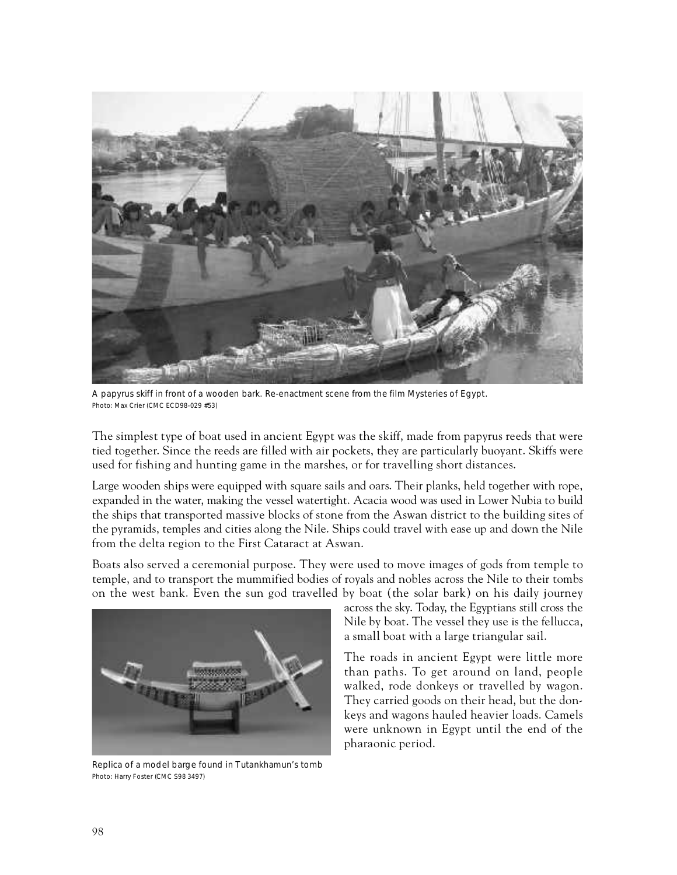

A papyrus skiff in front of a wooden bark. Re-enactment scene from the film Mysteries of Egypt. Photo: Max Crier (CMC ECD98-029 #53)

The simplest type of boat used in ancient Egypt was the skiff, made from papyrus reeds that were tied together. Since the reeds are filled with air pockets, they are particularly buoyant. Skiffs were used for fishing and hunting game in the marshes, or for travelling short distances.

Large wooden ships were equipped with square sails and oars. Their planks, held together with rope, expanded in the water, making the vessel watertight. Acacia wood was used in Lower Nubia to build the ships that transported massive blocks of stone from the Aswan district to the building sites of the pyramids, temples and cities along the Nile. Ships could travel with ease up and down the Nile from the delta region to the First Cataract at Aswan.

Boats also served a ceremonial purpose. They were used to move images of gods from temple to temple, and to transport the mummified bodies of royals and nobles across the Nile to their tombs on the west bank. Even the sun god travelled by boat (the solar bark) on his daily journey



Replica of a model barge found in Tutankhamun's tomb Photo: Harry Foster (CMC S98 3497)

across the sky. Today, the Egyptians still cross the Nile by boat. The vessel they use is the fellucca, a small boat with a large triangular sail.

The roads in ancient Egypt were little more than paths. To get around on land, people walked, rode donkeys or travelled by wagon. They carried goods on their head, but the donkeys and wagons hauled heavier loads. Camels were unknown in Egypt until the end of the pharaonic period.